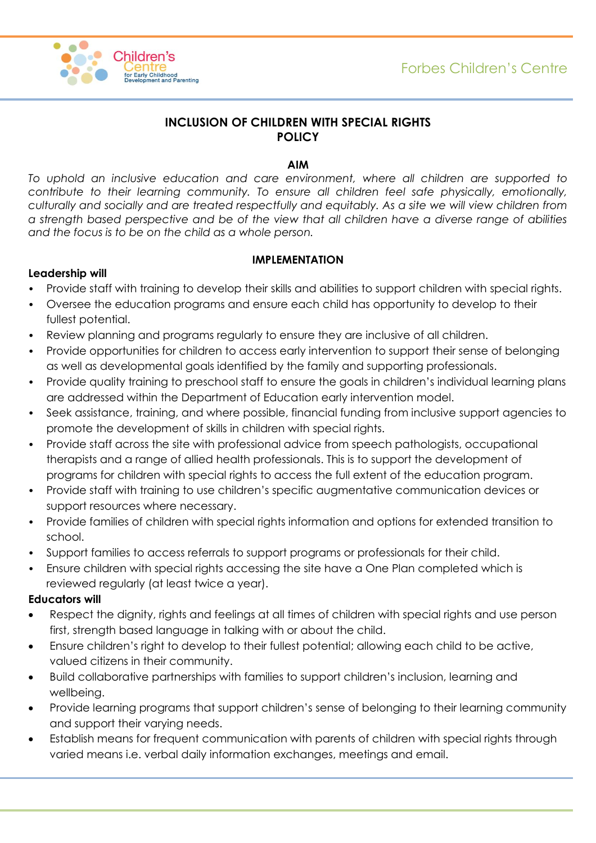

# **INCLUSION OF CHILDREN WITH SPECIAL RIGHTS POLICY**

### **AIM**

*To uphold an inclusive education and care environment, where all children are supported to contribute to their learning community. To ensure all children feel safe physically, emotionally, culturally and socially and are treated respectfully and equitably. As a site we will view children from a strength based perspective and be of the view that all children have a diverse range of abilities and the focus is to be on the child as a whole person.*

### **IMPLEMENTATION**

### **Leadership will**

- Provide staff with training to develop their skills and abilities to support children with special rights.
- Oversee the education programs and ensure each child has opportunity to develop to their fullest potential.
- Review planning and programs regularly to ensure they are inclusive of all children.
- Provide opportunities for children to access early intervention to support their sense of belonging as well as developmental goals identified by the family and supporting professionals.
- Provide quality training to preschool staff to ensure the goals in children's individual learning plans are addressed within the Department of Education early intervention model.
- Seek assistance, training, and where possible, financial funding from inclusive support agencies to promote the development of skills in children with special rights.
- Provide staff across the site with professional advice from speech pathologists, occupational therapists and a range of allied health professionals. This is to support the development of programs for children with special rights to access the full extent of the education program.
- Provide staff with training to use children's specific augmentative communication devices or support resources where necessary.
- Provide families of children with special rights information and options for extended transition to school.
- Support families to access referrals to support programs or professionals for their child.
- Ensure children with special rights accessing the site have a One Plan completed which is reviewed regularly (at least twice a year).

#### **Educators will**

- Respect the dignity, rights and feelings at all times of children with special rights and use person first, strength based language in talking with or about the child.
- Ensure children's right to develop to their fullest potential; allowing each child to be active, valued citizens in their community.
- Build collaborative partnerships with families to support children's inclusion, learning and wellbeing.
- Provide learning programs that support children's sense of belonging to their learning community and support their varying needs.
- Establish means for frequent communication with parents of children with special rights through varied means i.e. verbal daily information exchanges, meetings and email.